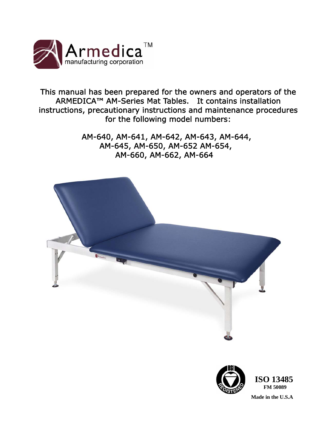

This manual has been prepared for the owners and operators of the ARMEDICA™ AM-Series Mat Tables. It contains installation instructions, precautionary instructions and maintenance procedures for the following model numbers:

> AM-640, AM-641, AM-642, AM-643, AM-644, AM-645, AM-650, AM-652 AM-654, AM-660, AM-662, AM-664



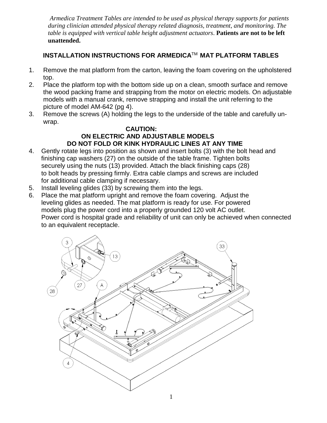*Armedica Treatment Tables are intended to be used as physical therapy supports for patients during clinician attended physical therapy related diagnosis, treatment, and monitoring. The table is equipped with vertical table height adjustment actuators*. **Patients are not to be left unattended.** 

# **INSTALLATION INSTRUCTIONS FOR ARMEDICA**TM **MAT PLATFORM TABLES**

- 1. Remove the mat platform from the carton, leaving the foam covering on the upholstered top.
- 2. Place the platform top with the bottom side up on a clean, smooth surface and remove the wood packing frame and strapping from the motor on electric models. On adjustable models with a manual crank, remove strapping and install the unit referring to the picture of model AM-642 (pg 4).
- 3. Remove the screws (A) holding the legs to the underside of the table and carefully unwrap.

#### **CAUTION: ON ELECTRIC AND ADJUSTABLE MODELS DO NOT FOLD OR KINK HYDRAULIC LINES AT ANY TIME**

- 4.Gently rotate legs into position as shown and insert bolts (3) with the bolt head and finishing cap washers (27) on the outside of the table frame. Tighten bolts securely using the nuts (13) provided. Attach the black finishing caps (28) to bolt heads by pressing firmly. Extra cable clamps and screws are included for additional cable clamping if necessary.
- 5. Install leveling glides (33) by screwing them into the legs.
- 6. Place the mat platform upright and remove the foam covering. Adjust the leveling glides as needed. The mat platform is ready for use. For powered models plug the power cord into a properly grounded 120 volt AC outlet. Power cord is hospital grade and reliability of unit can only be achieved when connected to an equivalent receptacle.

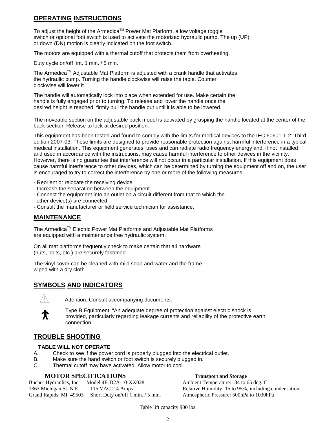#### **OPERATING INSTRUCTIONS**

To adjust the height of the Armedica™ Power Mat Platform, a low voltage toggle switch or optional foot switch is used to activate the motorized hydraulic pump. The up (UP) or down (DN) motion is clearly indicated on the foot switch.

The motors are equipped with a thermal cutoff that protects them from overheating.

Duty cycle on/off int. 1 min. / 5 min.

The Armedica<sup>TM</sup> Adjustable Mat Platform is adjusted with a crank handle that activates the hydraulic pump. Turning the handle clockwise will raise the table. Counter clockwise will lower it.

The handle will automatically lock into place when extended for use. Make certain the handle is fully engaged prior to turning. To release and lower the handle once the desired height is reached, firmly pull the handle out until it is able to be lowered.

The moveable section on the adjustable back model is activated by grasping the handle located at the center of the back section. Release to lock at desired position.

This equipment has been tested and found to comply with the limits for medical devices to the IEC 60601-1-2: Third edition 2007-03. These limits are designed to provide reasonable protection against harmful interference in a typical medical installation. This equipment generates, uses and can radiate radio frequency energy and, if not installed and used in accordance with the instructions, may cause harmful interference to other devices in the vicinity. However, there is no guarantee that interference will not occur in a particular installation. If this equipment does cause harmful interference to other devices, which can be determined by turning the equipment off and on, the user is encouraged to try to correct the interference by one or more of the following measures:

- Reorient or relocate the receiving device.
- Increase the separation between the equipment.
- Connect the equipment into an outlet on a circuit different from that to which the other device(s) are connected.
- Consult the manufacturer or field service technician for assistance.

#### **MAINTENANCE**

The Armedica™ Electric Power Mat Platforms and Adjustable Mat Platforms are equipped with a maintenance free hydraulic system.

On all mat platforms frequently check to make certain that all hardware (nuts, bolts, etc.) are securely fastened.

The vinyl cover can be cleaned with mild soap and water and the frame wiped with a dry cloth.

#### **SYMBOLS AND INDICATORS**



Attention: Consult accompanying documents.



Type B Equipment: "An adequate degree of protection against electric shock is provided, particularly regarding leakage currents and reliability of the protective earth connection."

#### **TROUBLE SHOOTING**

#### **TABLE WILL NOT OPERATE**

- A. Check to see if the power cord is properly plugged into the electrical outlet.
- B. Make sure the hand switch or foot switch is securely plugged in.
- C. Thermal cutoff may have activated. Allow motor to cool.

#### **MOTOR SPECIFICATIONS Transport and Storage**

Bucher Hydraulics, Inc Model 4E-D2A-10-XX028 Ambient Temperature: -34 to 65 deg. C 1363 Michigan St. N.E. 115 VAC 2.4 Amps Relative Humidity: 15 to 95%, including condensation Grand Rapids, MI 49503 Short Duty on/off 1 min. / 5 min. Atmospheric Pressure: 500hPa to 1030hPa

Table lift capacity 900 lbs.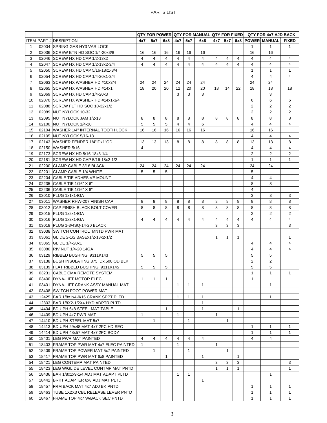|    |                                          | QTY FOR POWER QTY FOR MANUAL QTY FOR FIXED QTY FOR 4x7 AJD BACK |                |              |              |              |              |                |              |              |                |                                  |                |
|----|------------------------------------------|-----------------------------------------------------------------|----------------|--------------|--------------|--------------|--------------|----------------|--------------|--------------|----------------|----------------------------------|----------------|
|    | ITEM PART # DESRIPTION                   | 4x7                                                             | 5x7            | 6x8          | 4x7          | 5x7          | 6x8          |                |              |              |                | 4x7   5x7   6x8   POWER   MANUAL | <b>FIXED</b>   |
| 1  | 02004 SPRING GAS HY3 VARILOCK            |                                                                 |                |              |              |              |              |                |              |              | 1              | 1                                | 1              |
| 2  | 02036 SCREW BTN HD SOC 1/4-20x3/8        | 16                                                              | 16             | 16           | 16           | 16           | 16           |                |              |              | 16             | 16                               |                |
| 3  | 02046 SCREW HX HD CAP 1/2-13x2           | 4                                                               | 4              | 4            | 4            | 4            | 4            | 4              | 4            | 4            | 4              | 4                                | 4              |
| 4  | 02047 SCREW HX HD CAP 1/2-13x2-3/4       | 4                                                               | $\overline{4}$ | 4            | 4            | 4            | 4            | $\overline{4}$ | 4            | 4            | 4              | 4                                | 4              |
| 5  | 02050 SCREW HX HD CAP 5/16-18x1-3/4      |                                                                 |                |              |              |              |              |                |              |              | $\mathbf{1}$   | $\mathbf{1}$                     | $\mathbf{1}$   |
| 6  | 02054 SCREW HX HD CAP 1/4-20x1-3/4       |                                                                 |                |              |              |              |              |                |              |              | 4              | 4                                | 4              |
| 7  | 02063 SCREW HX WASHER HD #10x3/4         | 24                                                              | 24             | 24           | 24           | 24           | 24           |                |              |              | 24             | 24                               |                |
| 8  | 02065 SCREW HX WASHER HD #14x1           | 18                                                              | 20             | 20           | 12           | 20           | 20           | 18             | 14           | 22           | 18             | 18                               | 18             |
| 9  | 02069 SCREW HX HD CAP 1/4-20x3           |                                                                 |                |              | 3            | 3            | 3            |                |              |              |                | 3                                |                |
| 10 | 02070 SCREW HX WASHER HD #14x1-3/4       |                                                                 |                |              |              |              |              |                |              |              | 6              | 6                                | 6              |
| 11 | 02088 SCREW FLT HD SOC 10-32x1/2         |                                                                 |                |              |              |              |              |                |              |              | 2              | $\overline{2}$                   | 2              |
| 12 | 02089 NUT NYLOCK 10-32                   |                                                                 |                |              |              |              |              |                |              |              | 2              | 2                                | 2              |
| 13 | 02095 NUT NYLOCK JAM 1/2-13              | 8                                                               | 8              | 8            | 8            | 8            | 8            | 8              | 8            | 8            | 8              | 8                                | 8              |
| 14 | 02100 NUT NYLOCK 1/4-20                  | 5                                                               | 5              | 5            | 4            | 4            | 6            |                |              |              | 4              | 4                                | 4              |
| 15 | 02104 WASHER 1/4" INTERNAL TOOTH LOCK    | 16                                                              | 16             | 16           | 16           | 16           | 16           |                |              |              | 16             | 16                               |                |
| 16 | 02105 NUT NYLOCK 5/16-18                 |                                                                 |                |              |              |              |              |                |              |              | $\overline{4}$ | 4                                | 4              |
| 17 | 02143 WASHER FENDER 1/4"IDx1"OD          | 13                                                              | 13             | 13           | 8            | 8            | 8            | 8              | 8            | 8            | 13             | 13                               | 8              |
| 18 | 02150 WASHER 5/16                        | 4                                                               |                |              |              |              |              |                |              |              | 4              | 4                                | 4              |
| 19 | 02173 SCREW HX HD 5/16-18x3-1/4          |                                                                 |                |              |              |              |              |                |              |              | $\overline{2}$ | $\overline{2}$                   | $\overline{2}$ |
|    | 02181 SCREW HX HD CAP 5/16-18x2-1/2      |                                                                 |                |              |              |              |              |                |              |              |                |                                  |                |
| 20 |                                          |                                                                 |                |              |              |              |              |                |              |              | 1              | 1                                | 1              |
| 21 | 02200 CLAMP CABLE 3/16 BLACK             | 24                                                              | 24             | 24           | 24           | 24           | 24           |                |              |              | 24             | 24                               |                |
| 22 | 02201 CLAMP CABLE 1/4 WHITE              | 5                                                               | 5              | 5            |              |              |              |                |              |              | 5              |                                  |                |
| 23 | 02204 CABLE TIE ADHESIVE MOUNT           |                                                                 |                |              |              |              |              |                |              |              | 4              | $\overline{4}$                   |                |
| 24 | 02235 CABLE TIE 1/16" X 6"               |                                                                 |                |              |              |              |              |                |              |              | 8              | 8                                |                |
| 25 | 02236 CABLE TIE 1/16" X 8"               |                                                                 |                |              |              |              |              |                |              |              | 4              |                                  |                |
| 26 | 03010 PLUG 1x1x14GA                      |                                                                 |                |              |              |              |              |                |              |              | 3              | 3                                | 3              |
| 27 | 03011 WASHER RHW-207 FINISH CAP          | 8                                                               | 8              | 8            | 8            | 8            | 8            | 8              | 8            | 8            | 8              | 8                                | 8              |
| 28 | 03012 CAP FINISH BLACK BOLT COVER        | 8                                                               | 8              | 8            | 8            | 8            | 8            | 8              | 8            | 8            | 8              | 8                                | 8              |
| 29 | 03015 PLUG 1x2x14GA                      |                                                                 |                |              |              |              |              |                |              |              | 2              | 2                                | $\overline{2}$ |
| 30 | 03016 PLUG 1x3x14GA                      | 4                                                               | 4              | 4            | 4            | 4            | 4            | 4              | 4            | 4            | 4              | 4                                | 4              |
| 31 | 03018 PLUG 1-3/4SQ-14-20 BLACK           |                                                                 |                |              |              |              |              | 3              | 3            | 3            |                |                                  | 3              |
| 32 | 03038 SWITCH CONTROL MNTD PWR MAT        |                                                                 |                |              |              |              |              |                |              |              |                |                                  |                |
| 33 | 03061 GLIDE 2-1/2 BASEx1/2-13x2-1/2      |                                                                 |                |              |              |              |              | $\mathbf{1}$   | $\mathbf{1}$ | $\mathbf{1}$ |                |                                  | $\mathbf{1}$   |
| 34 | 03065 GLIDE 1/4-20x1                     |                                                                 |                |              |              |              |              |                |              |              | 4              | 4                                | 4              |
| 35 | 03080 RIV NUT 1/4-20 14GA                |                                                                 |                |              |              |              |              |                |              |              | 4              | 4                                | 4              |
| 36 | 03129 RIBBED BUSHING 9311K143            | 5                                                               | 5              | 5            |              |              |              |                |              |              | 5              | 5                                |                |
| 37 | 03138 BUSH INSULATING.375 IDx.500 OD BLK |                                                                 |                |              |              |              |              |                |              |              | 2              | 2                                |                |
| 38 | 03139 FLAT RIBBED BUSHING 9311K145       | 5                                                               | 5              | 5            |              |              |              |                |              |              | 5              | 5                                |                |
| 39 | 03231 CABLE CMA REMOTE SYSTEM            |                                                                 |                |              |              |              |              |                |              |              | 1              | $\mathbf{1}$                     | 1              |
| 40 | 03400 DYNA-LIFT MOTOR ELEC               | $\mathbf{1}$                                                    | $\mathbf{1}$   | $\mathbf{1}$ |              |              |              |                |              |              | $\mathbf{1}$   |                                  |                |
| 41 | 03401 DYNA-LIFT CRANK ASSY MANUAL MAT    |                                                                 |                |              | 1            | $\mathbf{1}$ | $\mathbf 1$  |                |              |              |                | $\mathbf{1}$                     |                |
| 42 | 03408 SWITCH FOOT POWER MAT              |                                                                 |                |              |              |              |              |                |              |              |                |                                  |                |
| 43 | 12425 BAR 1/8x1x4-9/16 CRANK SPPT PLTD   |                                                                 |                |              | 1            | 1            | 1            |                |              |              |                | 1                                |                |
| 44 | 12803 BAR 1/8X2-1/2X4 HYD ADPTR PLTD     |                                                                 |                |              |              |              | $\mathbf{1}$ |                |              |              |                |                                  |                |
| 45 | 14404 BD UPH 6x8 STEEL MAT TABLE         |                                                                 |                | 1            |              |              | $\mathbf{1}$ |                |              | 1            |                |                                  |                |
| 46 | 14409 BD UPH 4x7 PWR MAT                 | 1                                                               |                |              | $\mathbf{1}$ |              |              | $\mathbf{1}$   |              |              |                |                                  |                |
| 47 | 14410 BD UPH STEEL MAT 5x7               |                                                                 | 1              |              |              | 1            |              |                | $\mathbf{1}$ |              |                |                                  |                |
| 48 | 14413 BD UPH 29x48 MAT 4x7 2PC HD SEC    |                                                                 |                |              |              |              |              |                |              |              | $\mathbf{1}$   | 1                                | $\mathbf{1}$   |
| 49 | 14414 BD UPH 48x57 MAT 4x7 2PC BODY      |                                                                 |                |              |              |              |              |                |              |              | 1              | 1                                | $\mathbf{1}$   |
| 50 | 18401 LEG PWR MAT PAINTED                | 4                                                               | 4              | 4            | 4            | 4            | 4            |                |              |              | 4              | 4                                |                |
| 51 | 18403 FRAME TOP PWR MAT 4x7 ELEC PAINTED | 1                                                               |                |              | 1            |              |              | 1              |              |              |                |                                  |                |
| 52 | 18409 FRAME TOP POWER MAT 5x7 PAINTED    |                                                                 | 1              |              |              | 1            |              |                | 1            |              |                |                                  |                |
| 53 | 18417 FRAME TOP PWR MAT 6x8 PAINTED      |                                                                 |                | $\mathbf{1}$ |              |              | $\mathbf{1}$ |                |              | $\mathbf{1}$ |                |                                  |                |
| 54 | 18421 LEG CONTEMP MAT PAINTED            |                                                                 |                |              |              |              |              | 3              | 3            | 3            |                |                                  | 3              |
| 55 | 18423 ILEG W/GLIDE LEVEL CONTMP MAT PNTD |                                                                 |                |              |              |              |              | $\mathbf{1}$   | $\mathbf{1}$ | $\mathbf{1}$ |                |                                  | 1              |
| 56 | 18436 BAR 1/8x1x9-1/4 ADJ MAT ADAPT PLTD |                                                                 |                |              | 1            | $\mathbf{1}$ |              |                |              |              |                | 1                                |                |
| 57 | 18442 BRKT ADAPTER 6x8 ADJ MAT PLTD      |                                                                 |                |              |              |              | 1            |                |              |              |                |                                  |                |
| 58 | 18457 FRM BACK MAT 4x7 ADJ BK PNTD       |                                                                 |                |              |              |              |              |                |              |              | 1              | 1                                | $\mathbf{1}$   |
| 59 | 18463 TUBE 1X2X3 CBL RELEASE LEVER PNTD  |                                                                 |                |              |              |              |              |                |              |              | 1              | 1                                | 1              |
| 60 | 18467 FRAME TOP 4x7 W/BACK SEC PNTD      |                                                                 |                |              |              |              |              |                |              |              | $\mathbf{1}$   | $\mathbf{1}$                     | $\mathbf{1}$   |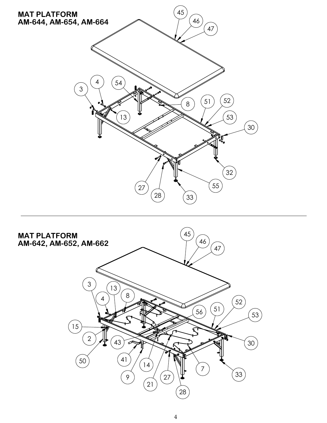

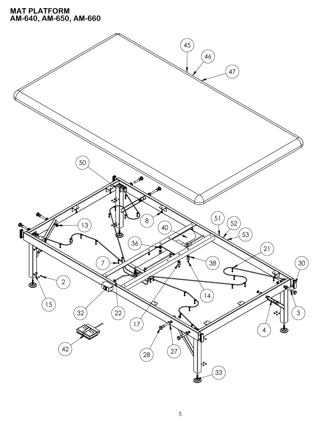## **MAT PLATFORM AM-640, AM-650, AM-660**

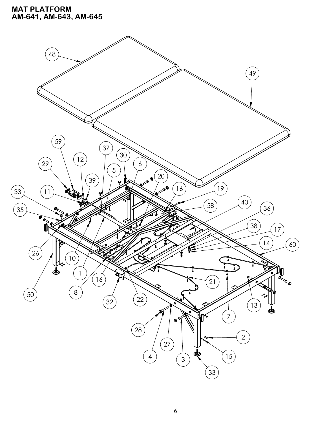### **MAT PLATFORM AM-641, AM-643, AM-645**